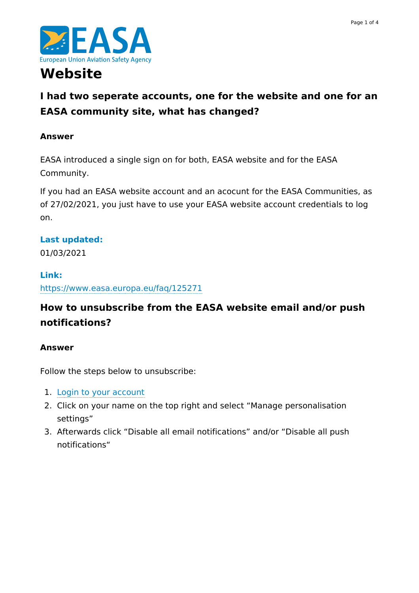



# **Website**

# **I had two seperate accounts, one for the website and one for an EASA community site, what has changed?**

#### **Answer**

EASA introduced a single sign on for both, EASA website and for the EASA Community.

If you had an EASA website account and an acocunt for the EASA Communities, as of 27/02/2021, you just have to use your EASA website account credentials to log on.

#### **Last updated:**

01/03/2021

#### **Link:**

<https://www.easa.europa.eu/faq/125271>

## **How to unsubscribe from the EASA website email and/or push notifications?**

#### **Answer**

Follow the steps below to unsubscribe:

- 1. Login to your [account](https://www.easa.europa.eu/user/login)
- 2. Click on your name on the top right and select "Manage personalisation settings"
- 3. Afterwards click "Disable all email notifications" and/or "Disable all push notifications"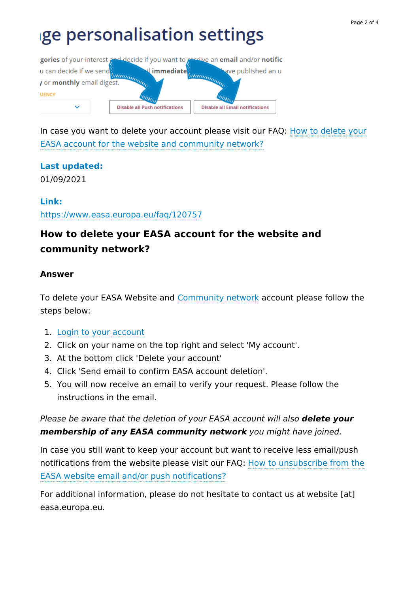# ge personalisation settings



In case you want to delete your account please visit our FAQ: How to delete your EASA account for the website and [community](https://www.easa.europa.eu/faq/128382) network?

## **Last updated:**

01/09/2021

#### **Link:**

<https://www.easa.europa.eu/faq/120757>

# **How to delete your EASA account for the website and community network?**

#### **Answer**

To delete your EASA Website and [Community](https://www.easa.europa.eu/community/) network account please follow the steps below:

- 1. Login to your [account](https://www.easa.europa.eu/user/login)
- 2. Click on your name on the top right and select 'My account'.
- 3. At the bottom click 'Delete your account'
- 4. Click 'Send email to confirm EASA account deletion'.
- 5. You will now receive an email to verify your request. Please follow the instructions in the email.

Please be aware that the deletion of your EASA account will also **delete your membership of any EASA community network** you might have joined.

In case you still want to keep your account but want to receive less email/push notifications from the website please visit our FAQ: How to unsubscribe from the EASA website email and/or push [notifications?](https://www.easa.europa.eu/faq/120757)

For additional information, please do not hesitate to contact us at website [at] easa.europa.eu.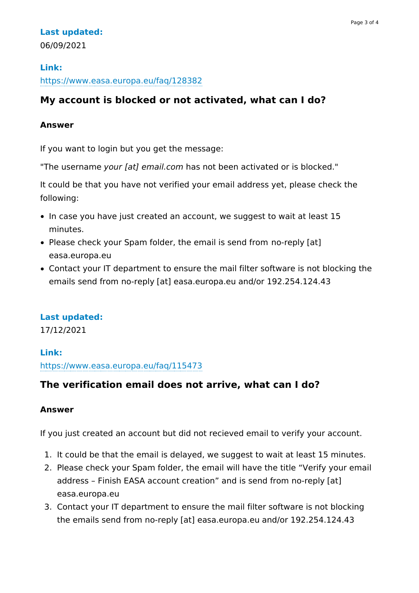#### **Last updated:** 06/09/2021

# **Link:**

#### <https://www.easa.europa.eu/faq/128382>

## **My account is blocked or not activated, what can I do?**

#### **Answer**

If you want to login but you get the message:

"The username your [at] email.com has not been activated or is blocked."

It could be that you have not verified your email address yet, please check the following:

- In case you have just created an account, we suggest to wait at least 15 minutes.
- Please check your Spam folder, the email is send from no-reply [at] easa.europa.eu
- Contact your IT department to ensure the mail filter software is not blocking the emails send from no-reply [at] easa.europa.eu and/or 192.254.124.43

## **Last updated:**

17/12/2021

#### **Link:**

<https://www.easa.europa.eu/faq/115473>

## **The verification email does not arrive, what can I do?**

#### **Answer**

If you just created an account but did not recieved email to verify your account.

- 1. It could be that the email is delayed, we suggest to wait at least 15 minutes.
- 2. Please check your Spam folder, the email will have the title "Verify your email address – Finish EASA account creation" and is send from no-reply [at] easa.europa.eu
- 3. Contact your IT department to ensure the mail filter software is not blocking the emails send from no-reply [at] easa.europa.eu and/or 192.254.124.43